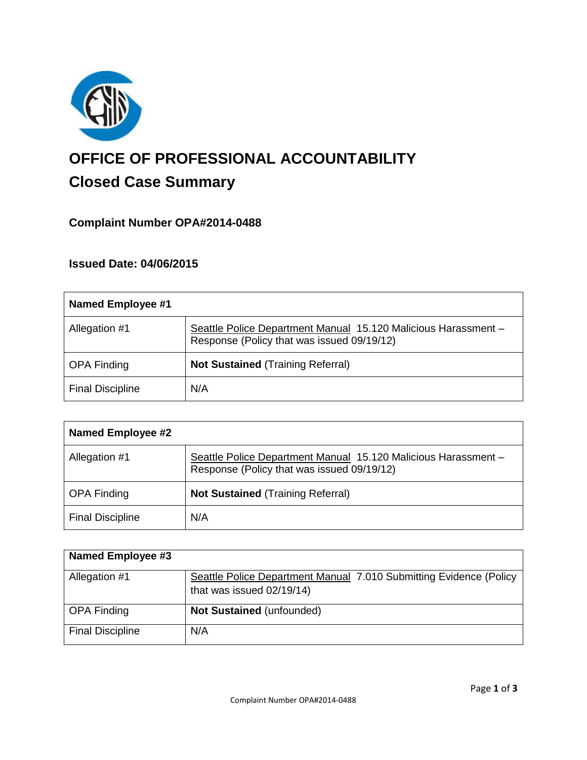

# **OFFICE OF PROFESSIONAL ACCOUNTABILITY Closed Case Summary**

# **Complaint Number OPA#2014-0488**

## **Issued Date: 04/06/2015**

| <b>Named Employee #1</b> |                                                                                                              |
|--------------------------|--------------------------------------------------------------------------------------------------------------|
| Allegation #1            | Seattle Police Department Manual 15.120 Malicious Harassment -<br>Response (Policy that was issued 09/19/12) |
| <b>OPA Finding</b>       | <b>Not Sustained (Training Referral)</b>                                                                     |
| <b>Final Discipline</b>  | N/A                                                                                                          |

| <b>Named Employee #2</b> |                                                                                                              |
|--------------------------|--------------------------------------------------------------------------------------------------------------|
| Allegation #1            | Seattle Police Department Manual 15.120 Malicious Harassment -<br>Response (Policy that was issued 09/19/12) |
| <b>OPA Finding</b>       | <b>Not Sustained (Training Referral)</b>                                                                     |
| <b>Final Discipline</b>  | N/A                                                                                                          |

| <b>Named Employee #3</b> |                                                                    |
|--------------------------|--------------------------------------------------------------------|
| Allegation #1            | Seattle Police Department Manual 7.010 Submitting Evidence (Policy |
|                          | that was issued 02/19/14)                                          |
| <b>OPA Finding</b>       | Not Sustained (unfounded)                                          |
| <b>Final Discipline</b>  | N/A                                                                |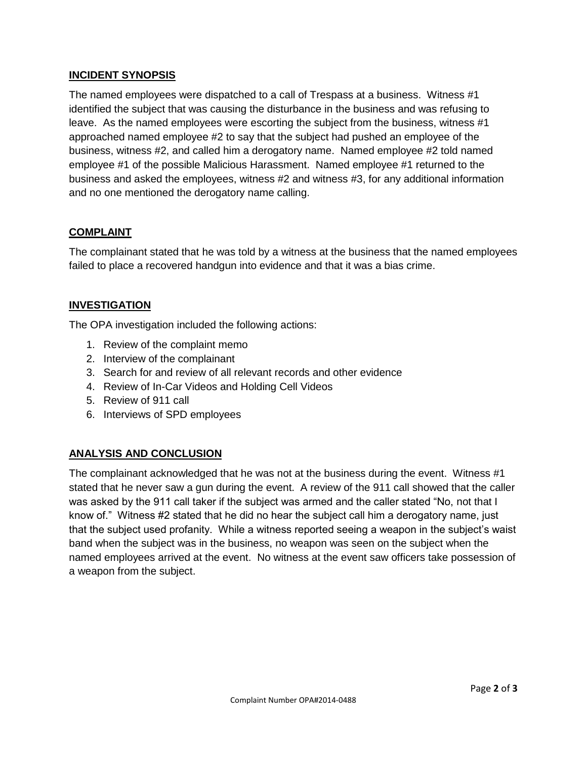## **INCIDENT SYNOPSIS**

The named employees were dispatched to a call of Trespass at a business. Witness #1 identified the subject that was causing the disturbance in the business and was refusing to leave. As the named employees were escorting the subject from the business, witness #1 approached named employee #2 to say that the subject had pushed an employee of the business, witness #2, and called him a derogatory name. Named employee #2 told named employee #1 of the possible Malicious Harassment. Named employee #1 returned to the business and asked the employees, witness #2 and witness #3, for any additional information and no one mentioned the derogatory name calling.

#### **COMPLAINT**

The complainant stated that he was told by a witness at the business that the named employees failed to place a recovered handgun into evidence and that it was a bias crime.

## **INVESTIGATION**

The OPA investigation included the following actions:

- 1. Review of the complaint memo
- 2. Interview of the complainant
- 3. Search for and review of all relevant records and other evidence
- 4. Review of In-Car Videos and Holding Cell Videos
- 5. Review of 911 call
- 6. Interviews of SPD employees

#### **ANALYSIS AND CONCLUSION**

The complainant acknowledged that he was not at the business during the event. Witness #1 stated that he never saw a gun during the event. A review of the 911 call showed that the caller was asked by the 911 call taker if the subject was armed and the caller stated "No, not that I know of." Witness #2 stated that he did no hear the subject call him a derogatory name, just that the subject used profanity. While a witness reported seeing a weapon in the subject's waist band when the subject was in the business, no weapon was seen on the subject when the named employees arrived at the event. No witness at the event saw officers take possession of a weapon from the subject.